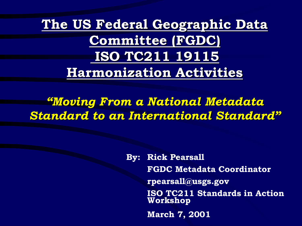**The US Federal Geographic Data Committee (FGDC) ISO TC211 19115 Harmonization Activities**

*"Moving From a National Metadata Standard to an International Standard"*

> **By: Rick Pearsall FGDC Metadata Coordinator rpearsall@usgs.gov ISO TC211 Standards in Action Workshop March 7, 2001**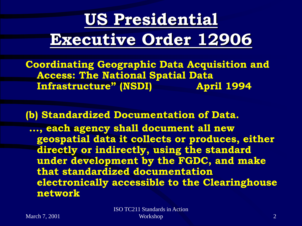## **US Presidential Executive Order 12906**

**Coordinating Geographic Data Acquisition and Access: The National Spatial Data Infrastructure" (NSDI) April 1994**

**(b) Standardized Documentation of Data. ..., each agency shall document all new geospatial data it collects or produces, either directly or indirectly, using the standard under development by the FGDC, and make that standardized documentation electronically accessible to the Clearinghouse network**

ISO TC211 Standards in Action Workshop 2 and 2 and 2 and 2 and 2 and 2 and 2 and 2 and 2 and 2 and 2 and 2 and 2 and 2 and 2 and 2 and 2 and 2 and 2 and 2 and 2 and 2 and 2 and 2 and 2 and 2 and 2 and 2 and 2 and 2 and 2 and 2 and 2 and 2 and 2 and 2 a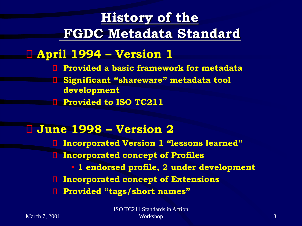### **History of the FGDC Metadata Standard**

#### **April 1994 – Version 1**

- **Provided a basic framework for metadata**
- **Significant "shareware" metadata tool development**
- **Provided to ISO TC211**

#### **June 1998 – Version 2**

**Incorporated Version 1 "lessons learned" Incorporated concept of Profiles** O ▪ **1 endorsed profile, 2 under development Incorporated concept of Extensions Provided "tags/short names"**

ISO TC211 Standards in Action Workshop 3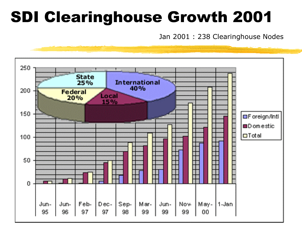## SDI Clearinghouse Growth 2001

Jan 2001 : 238 Clearinghouse Nodes

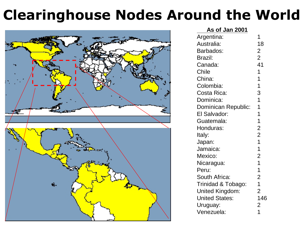### **Clearinghouse Nodes Around the World**



| As of Jan 2001         |                |
|------------------------|----------------|
| Argentina:             | 1              |
| Australia:             | 18             |
| Barbados:              | $\overline{c}$ |
| Brazil:                | $\overline{2}$ |
| Canada:                | 41             |
| <b>Chile</b>           | 1              |
| China:                 | $\mathbf 1$    |
| Colombia:              | 1              |
| Costa Rica:            | 3              |
| Dominica:              | $\overline{1}$ |
| Dominican Republic:    | 1              |
| El Salvador:           | $\overline{1}$ |
| Guatemala:             | 1              |
| Honduras:              | $\overline{2}$ |
| Italy:                 | $\overline{2}$ |
| Japan:                 | $\overline{1}$ |
| Jamaica:               | $\mathbf 1$    |
| Mexico:                | $\overline{c}$ |
| Nicaragua:             | $\overline{1}$ |
| Peru:                  | $\overline{1}$ |
| South Africa:          | $\overline{2}$ |
| Trinidad & Tobago:     | $\mathbf 1$    |
| <b>United Kingdom:</b> | $\overline{2}$ |
| <b>United States:</b>  | 146            |
| Uruguay:               | $\overline{2}$ |
| Venezuela:             | 1              |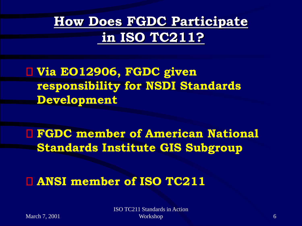### **How Does FGDC Participate in ISO TC211?**

**Via EO12906, FGDC given responsibility for NSDI Standards Development**

**FGDC member of American National Standards Institute GIS Subgroup**

**ANSI member of ISO TC211**

March 7, 2001

ISO TC211 Standards in Action Workshop 6. The contract of the contract of the contract of the contract of the contract of the contract of the contract of the contract of the contract of the contract of the contract of the contract of the contract of th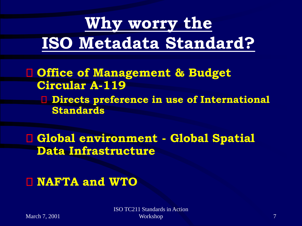## **Why worry the ISO Metadata Standard?**

- **Office of Management & Budget Circular A-119**
	- **Directs preference in use of International Standards**

**Global environment - Global Spatial Data Infrastructure**

#### **NAFTA and WTO**

ISO TC211 Standards in Action Workshop 2008 and 2008 and 2008 and 2008 and 2008 and 2008 and 2008 and 2008 and 2008 and 2008 and 2008 and 20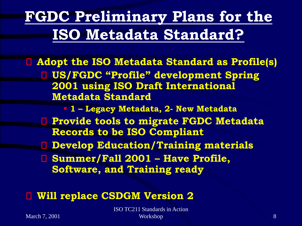### **FGDC Preliminary Plans for the ISO Metadata Standard?**

**Adopt the ISO Metadata Standard as Profile(s) US/FGDC "Profile" development Spring 2001 using ISO Draft International Metadata Standard** ▪ **1 – Legacy Metadata, 2- New Metadata Provide tools to migrate FGDC Metadata Records to be ISO Compliant Develop Education/Training materials**

**Summer/Fall 2001 – Have Profile, Software, and Training ready** 

#### **Will replace CSDGM Version 2**

ISO TC211 Standards in Action Workshop 8 and 8 and 8 and 8 and 8 and 8 and 8 and 8 and 8 and 8 and 8 and 8 and 8 and 8 and 8 and 8 and 8 and 8 and 8 and 8 and 8 and 8 and 8 and 8 and 8 and 8 and 8 and 8 and 8 and 8 and 8 and 8 and 8 and 8 and 8 and 8 a

March 7, 2001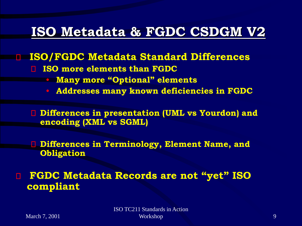### **ISO Metadata & FGDC CSDGM V2**

#### **ISO/FGDC Metadata Standard Differences**

- **ISO more elements than FGDC** n.
	- **Many more "Optional" elements**
	- **Addresses many known deficiencies in FGDC**

**Differences in presentation (UML vs Yourdon) and encoding (XML vs SGML)** 

**Differences in Terminology, Element Name, and Obligation**

**FGDC Metadata Records are not "yet" ISO compliant**

ISO TC211 Standards in Action Workshop 2008 and 2008 and 2008 and 2008 and 2008 and 2008 and 2008 and 2008 and 2008 and 2008 and 2008 and 20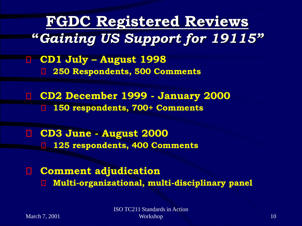**FGDC Registered Reviews "***Gaining US Support for 19115"*

**CD1 July – August 1998** 85 **250 Respondents, 500 Comments**

**CD2 December 1999 - January 2000** п. **150 respondents, 700+ Comments** П

**CD3 June - August 2000** O. **125 respondents, 400 Comments**

**Comment adjudication**  П **Multi-organizational, multi-disciplinary panel**◧

March 7, 2001

ISO TC211 Standards in Action Workshop 2008 10 and 2008 10 and 2008 10 and 2008 10 and 2008 10 and 2008 10 and 2008 10 and 2008 10 and 2008 10 and 2008 10 and 2008 10 and 2008 10 and 2008 10 and 2008 10 and 2008 10 and 2008 10 and 2008 10 and 2008 10 a